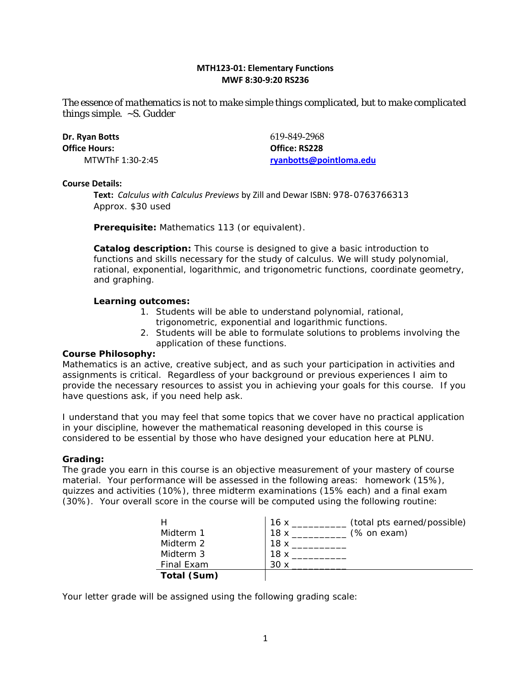# **MTH123-01: Elementary Functions MWF 8:30-9:20 RS236**

*The essence of mathematics is not to make simple things complicated, but to make complicated things simple.* ~S. Gudder

| Dr. Ryan Botts   | 619-849-2968            |
|------------------|-------------------------|
| Office Hours: I  | Office: RS228           |
| MTWThF 1:30-2:45 | rvanbotts@pointloma.edu |

#### **Course Details:**

**Text:** *Calculus with Calculus Previews* by Zill and Dewar ISBN: 978-0763766313 Approx. \$30 used

**Prerequisite:** Mathematics 113 (or equivalent).

**Catalog description:** This course is designed to give a basic introduction to functions and skills necessary for the study of calculus. We will study polynomial, rational, exponential, logarithmic, and trigonometric functions, coordinate geometry, and graphing.

## **Learning outcomes:**

- 1. Students will be able to understand polynomial, rational,
	- trigonometric, exponential and logarithmic functions.
- 2. Students will be able to formulate solutions to problems involving the application of these functions.

# **Course Philosophy:**

Mathematics is an active, creative subject, and as such your participation in activities and assignments is critical. Regardless of your background or previous experiences I aim to provide the necessary resources to assist you in achieving your goals for this course. If you have questions ask, if you need help ask.

I understand that you may feel that some topics that we cover have no practical application in your discipline, however the mathematical reasoning developed in this course is considered to be essential by those who have designed your education here at PLNU.

#### **Grading:**

The grade you earn in this course is an objective measurement of your mastery of course material. Your performance will be assessed in the following areas: homework (15%), quizzes and activities (10%), three midterm examinations (15% each) and a final exam (30%). Your overall score in the course will be computed using the following routine:

|             | (total pts earned/possible)<br>16x |
|-------------|------------------------------------|
| Midterm 1   | (% on exam)<br>18x                 |
| Midterm 2   | 18 x                               |
| Midterm 3   | 18 x                               |
| Final Exam  | 30 x                               |
| Total (Sum) |                                    |

Your letter grade will be assigned using the following grading scale: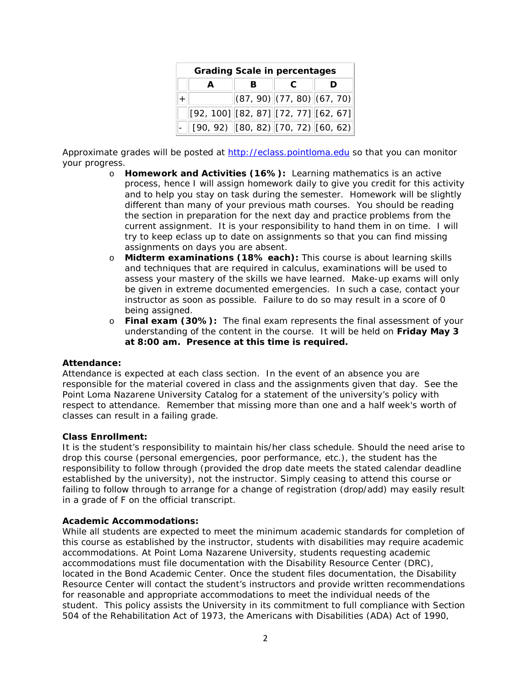| <b>Grading Scale in percentages</b>                                                                                                                                          |  |                                                            |  |  |  |  |
|------------------------------------------------------------------------------------------------------------------------------------------------------------------------------|--|------------------------------------------------------------|--|--|--|--|
|                                                                                                                                                                              |  |                                                            |  |  |  |  |
|                                                                                                                                                                              |  | $\vert$ (87, 90) $\vert$ (77, 80) $\vert$ (67, 70) $\vert$ |  |  |  |  |
| $\left\vert \left[ 92\text{, }100\right] \right\vert \left[ 82\text{, }87\right] \left\vert \left[ 72\text{, }77\right] \right\vert \left[ 62\text{, }67\right] \right\vert$ |  |                                                            |  |  |  |  |
| $\boxed{[90, 92)$ $[80, 82]$ $[70, 72]$ $[60, 62]$                                                                                                                           |  |                                                            |  |  |  |  |

Approximate grades will be posted at [http://eclass.pointloma.edu](http://eclass.pointloma.edu/) so that you can monitor your progress.

- o **Homework and Activities (16%):** Learning mathematics is an active process, hence I will assign homework daily to give you credit for this activity and to help you stay on task during the semester. Homework will be slightly different than many of your previous math courses. You should be reading the section in preparation for the next day and practice problems from the current assignment. It is your responsibility to hand them in on time. I will try to keep eclass up to date on assignments so that you can find missing assignments on days you are absent.
- o **Midterm examinations (18% each):** This course is about learning skills and techniques that are required in calculus, examinations will be used to assess your mastery of the skills we have learned. Make-up exams will only be given in extreme documented emergencies. In such a case, contact your instructor as soon as possible. Failure to do so may result in a score of 0 being assigned.
- o **Final exam (30%):** The final exam represents the final assessment of your understanding of the content in the course. It will be held on **Friday May 3 at 8:00 am. Presence at this time is required.**

#### **Attendance:**

Attendance is expected at each class section. In the event of an absence you are responsible for the material covered in class and the assignments given that day. See the Point Loma Nazarene University Catalog for a statement of the university's policy with respect to attendance. Remember that missing more than one and a half week's worth of classes can result in a failing grade.

#### **Class Enrollment:**

It is the student's responsibility to maintain his/her class schedule. Should the need arise to drop this course (personal emergencies, poor performance, etc.), the student has the responsibility to follow through (provided the drop date meets the stated calendar deadline established by the university), not the instructor. Simply ceasing to attend this course or failing to follow through to arrange for a change of registration (drop/add) may easily result in a grade of F on the official transcript.

#### **Academic Accommodations:**

While all students are expected to meet the minimum academic standards for completion of this course as established by the instructor, students with disabilities may require academic accommodations. At Point Loma Nazarene University, students requesting academic accommodations must file documentation with the Disability Resource Center (DRC), located in the Bond Academic Center. Once the student files documentation, the Disability Resource Center will contact the student's instructors and provide written recommendations for reasonable and appropriate accommodations to meet the individual needs of the student. This policy assists the University in its commitment to full compliance with Section 504 of the Rehabilitation Act of 1973, the Americans with Disabilities (ADA) Act of 1990,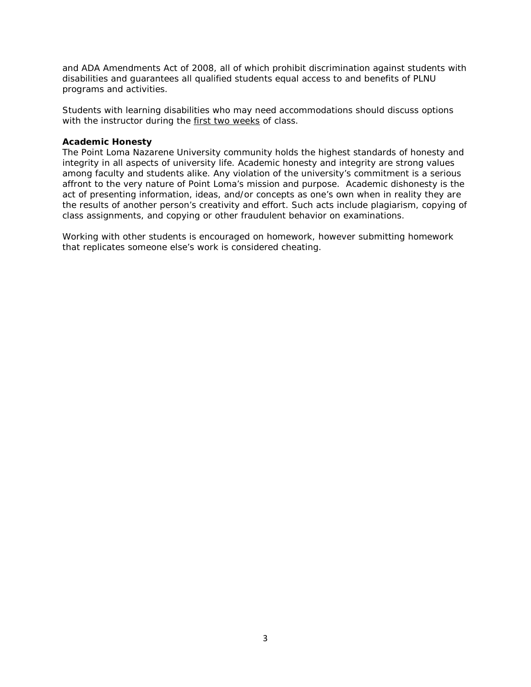and ADA Amendments Act of 2008, all of which prohibit discrimination against students with disabilities and guarantees all qualified students equal access to and benefits of PLNU programs and activities.

Students with learning disabilities who may need accommodations should discuss options with the instructor during the first two weeks of class.

## **Academic Honesty**

The Point Loma Nazarene University community holds the highest standards of honesty and integrity in all aspects of university life. Academic honesty and integrity are strong values among faculty and students alike. Any violation of the university's commitment is a serious affront to the very nature of Point Loma's mission and purpose. Academic dishonesty is the act of presenting information, ideas, and/or concepts as one's own when in reality they are the results of another person's creativity and effort. Such acts include plagiarism, copying of class assignments, and copying or other fraudulent behavior on examinations.

Working with other students is encouraged on homework, however submitting homework that replicates someone else's work is considered cheating.